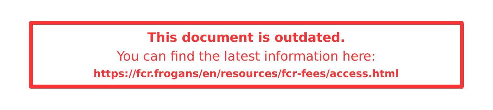#### **This document is outdated.** You can fnd the latest information here: **<https://fcr.frogans/en/resources/fcr-fees/access.html>**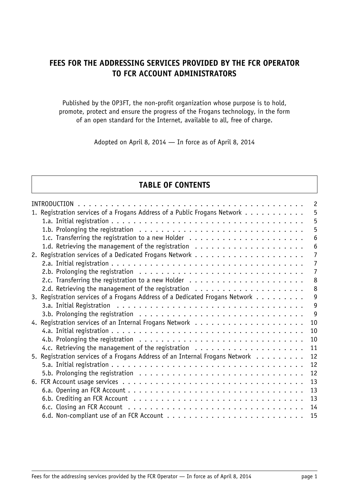# **FEES FOR THE ADDRESSING SERVICES PROVIDED BY THE FCR OPERATOR TO FCR ACCOUNT ADMINISTRATORS**

Published by the OP3FT, the non-profit organization whose purpose is to hold, promote, protect and ensure the progress of the Frogans technology, in the form of an open standard for the Internet, available to all, free of charge.

Adopted on April 8, 2014 — In force as of April 8, 2014

### **TABLE OF CONTENTS**

| INTRODUCTION                                                                 | $\overline{c}$ |
|------------------------------------------------------------------------------|----------------|
| 1. Registration services of a Frogans Address of a Public Frogans Network    | 5              |
|                                                                              | 5              |
|                                                                              | 5              |
|                                                                              | 6              |
|                                                                              | 6              |
|                                                                              | $\overline{7}$ |
|                                                                              | $\overline{7}$ |
|                                                                              | $\overline{7}$ |
|                                                                              | 8              |
|                                                                              | 8              |
| 3. Registration services of a Frogans Address of a Dedicated Frogans Network | $\overline{9}$ |
|                                                                              | 9              |
|                                                                              | 9              |
|                                                                              | 10             |
|                                                                              | 10             |
|                                                                              | 10             |
|                                                                              | 11             |
| 5. Reqistration services of a Frogans Address of an Internal Frogans Network | 12             |
|                                                                              | 12             |
|                                                                              | 12             |
|                                                                              |                |
|                                                                              | 13             |
|                                                                              | 13             |
|                                                                              | 13             |
|                                                                              | 14             |
|                                                                              | 15             |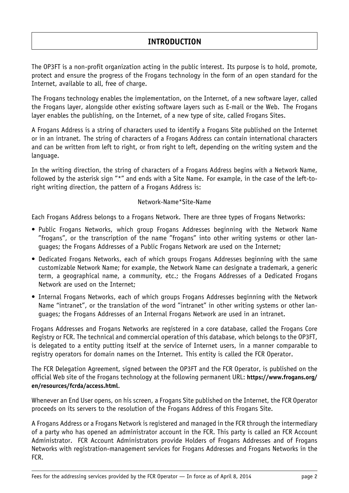# **INTRODUCTION**

<span id="page-2-0"></span>The OP3FT is a non-profit organization acting in the public interest. Its purpose is to hold, promote, protect and ensure the progress of the Frogans technology in the form of an open standard for the Internet, available to all, free of charge.

The Frogans technology enables the implementation, on the Internet, of a new software layer, called the Frogans layer, alongside other existing software layers such as E-mail or the Web. The Frogans layer enables the publishing, on the Internet, of a new type of site, called Frogans Sites.

A Frogans Address is a string of characters used to identify a Frogans Site published on the Internet or in an intranet. The string of characters of a Frogans Address can contain international characters and can be written from left to right, or from right to left, depending on the writing system and the language.

In the writing direction, the string of characters of a Frogans Address begins with a Network Name, followed by the asterisk sign "\*" and ends with a Site Name. For example, in the case of the left-toright writing direction, the pattern of a Frogans Address is:

#### Network-Name\*Site-Name

Each Frogans Address belongs to a Frogans Network. There are three types of Frogans Networks:

- Public Frogans Networks, which group Frogans Addresses beginning with the Network Name "frogans", or the transcription of the name "frogans" into other writing systems or other languages; the Frogans Addresses of a Public Frogans Network are used on the Internet;
- Dedicated Frogans Networks, each of which groups Frogans Addresses beginning with the same customizable Network Name; for example, the Network Name can designate a trademark, a generic term, a geographical name, a community, etc.; the Frogans Addresses of a Dedicated Frogans Network are used on the Internet;
- Internal Frogans Networks, each of which groups Frogans Addresses beginning with the Network Name "intranet", or the translation of the word "intranet" in other writing systems or other languages; the Frogans Addresses of an Internal Frogans Network are used in an intranet.

Frogans Addresses and Frogans Networks are registered in a core database, called the Frogans Core Registry or FCR. The technical and commercial operation of this database, which belongs to the OP3FT, is delegated to a entity putting itself at the service of Internet users, in a manner comparable to registry operators for domain names on the Internet. This entity is called the FCR Operator.

The FCR Delegation Agreement, signed between the OP3FT and the FCR Operator, is published on the official Web site of the Frogans technology at the following permanent URL: **[https://www.frogans.org/](https://www.frogans.org/en/resources/fcrda/access.html) [en/resources/fcrda/access.html](https://www.frogans.org/en/resources/fcrda/access.html)**.

Whenever an End User opens, on his screen, a Frogans Site published on the Internet, the FCR Operator proceeds on its servers to the resolution of the Frogans Address of this Frogans Site.

A Frogans Address or a Frogans Network is registered and managed in the FCR through the intermediary of a party who has opened an administrator account in the FCR. This party is called an FCR Account Administrator. FCR Account Administrators provide Holders of Frogans Addresses and of Frogans Networks with registration-management services for Frogans Addresses and Frogans Networks in the FCR.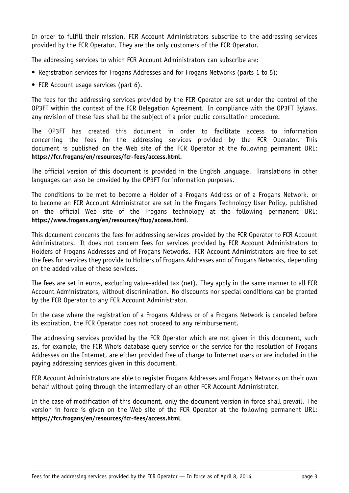In order to fulfill their mission, FCR Account Administrators subscribe to the addressing services provided by the FCR Operator. They are the only customers of the FCR Operator.

The addressing services to which FCR Account Administrators can subscribe are:

- Registration services for Frogans Addresses and for Frogans Networks (parts 1 to 5);
- FCR Account usage services (part 6).

The fees for the addressing services provided by the FCR Operator are set under the control of the OP3FT within the context of the FCR Delegation Agreement. In compliance with the OP3FT Bylaws, any revision of these fees shall be the subject of a prior public consultation procedure.

The OP3FT has created this document in order to facilitate access to information concerning the fees for the addressing services provided by the FCR Operator. This document is published on the Web site of the FCR Operator at the following permanent URL: **<https://fcr.frogans/en/resources/fcr-fees/access.html>**.

The official version of this document is provided in the English language. Translations in other languages can also be provided by the OP3FT for information purposes.

The conditions to be met to become a Holder of a Frogans Address or of a Frogans Network, or to become an FCR Account Administrator are set in the Frogans Technology User Policy, published on the official Web site of the Frogans technology at the following permanent URL: **<https://www.frogans.org/en/resources/ftup/access.html>**.

This document concerns the fees for addressing services provided by the FCR Operator to FCR Account Administrators. It does not concern fees for services provided by FCR Account Administrators to Holders of Frogans Addresses and of Frogans Networks. FCR Account Administrators are free to set the fees for services they provide to Holders of Frogans Addresses and of Frogans Networks, depending on the added value of these services.

The fees are set in euros, excluding value-added tax (net). They apply in the same manner to all FCR Account Administrators, without discrimination. No discounts nor special conditions can be granted by the FCR Operator to any FCR Account Administrator.

In the case where the registration of a Frogans Address or of a Frogans Network is canceled before its expiration, the FCR Operator does not proceed to any reimbursement.

The addressing services provided by the FCR Operator which are not given in this document, such as, for example, the FCR Whois database query service or the service for the resolution of Frogans Addresses on the Internet, are either provided free of charge to Internet users or are included in the paying addressing services given in this document.

FCR Account Administrators are able to register Frogans Addresses and Frogans Networks on their own behalf without going through the intermediary of an other FCR Account Administrator.

In the case of modification of this document, only the document version in force shall prevail. The version in force is given on the Web site of the FCR Operator at the following permanent URL: **<https://fcr.frogans/en/resources/fcr-fees/access.html>**.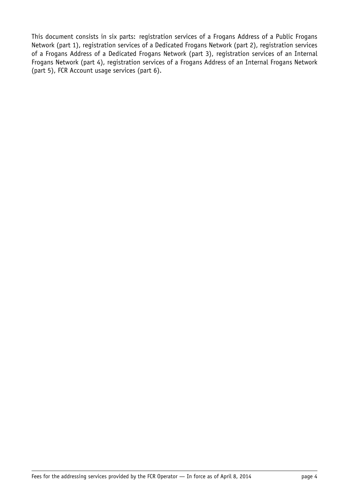This document consists in six parts: registration services of a Frogans Address of a Public Frogans Network (part 1), registration services of a Dedicated Frogans Network (part 2), registration services of a Frogans Address of a Dedicated Frogans Network (part 3), registration services of an Internal Frogans Network (part 4), registration services of a Frogans Address of an Internal Frogans Network (part 5), FCR Account usage services (part 6).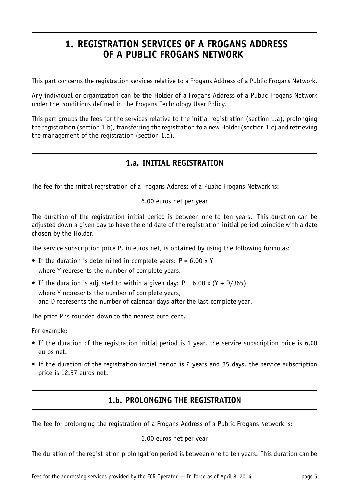# <span id="page-5-0"></span>**1. REGISTRATION SERVICES OF A FROGANS ADDRESS OF A PUBLIC FROGANS NETWORK**

This part concerns the registration services relative to a Frogans Address of a Public Frogans Network.

Any individual or organization can be the Holder of a Frogans Address of a Public Frogans Network under the conditions defined in the Frogans Technology User Policy.

<span id="page-5-1"></span>This part groups the fees for the services relative to the initial registration (section 1.a), prolonging the registration (section 1.b), transferring the registration to a new Holder (section 1.c) and retrieving the management of the registration (section 1.d).

# **1.a. INITIAL REGISTRATION**

The fee for the initial registration of a Frogans Address of a Public Frogans Network is:

6.00 euros net per year

The duration of the registration initial period is between one to ten years. This duration can be adjusted down a given day to have the end date of the registration initial period coincide with a date chosen by the Holder.

The service subscription price P, in euros net, is obtained by using the following formulas:

- If the duration is determined in complete years:  $P = 6.00 \times Y$ where Y represents the number of complete years.
- If the duration is adjusted to within a given day:  $P = 6.00 \times (Y + D/365)$ where Y represents the number of complete years, and D represents the number of calendar days after the last complete year.

The price P is rounded down to the nearest euro cent.

For example:

- If the duration of the registration initial period is 1 year, the service subscription price is 6.00 euros net.
- <span id="page-5-2"></span>• If the duration of the registration initial period is 2 years and 35 days, the service subscription price is 12.57 euros net.

## **1.b. PROLONGING THE REGISTRATION**

The fee for prolonging the registration of a Frogans Address of a Public Frogans Network is:

#### 6.00 euros net per year

The duration of the registration prolongation period is between one to ten years. This duration can be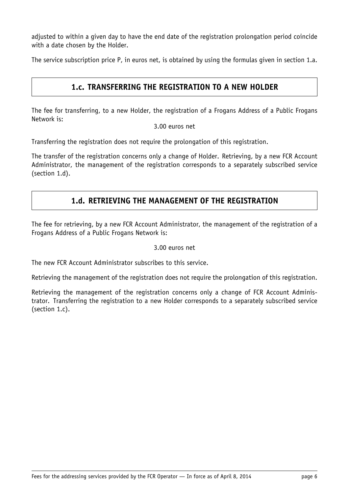adjusted to within a given day to have the end date of the registration prolongation period coincide with a date chosen by the Holder.

<span id="page-6-0"></span>The service subscription price P, in euros net, is obtained by using the formulas given in section 1.a.

### **1.c. TRANSFERRING THE REGISTRATION TO A NEW HOLDER**

The fee for transferring, to a new Holder, the registration of a Frogans Address of a Public Frogans Network is:

#### 3.00 euros net

Transferring the registration does not require the prolongation of this registration.

<span id="page-6-1"></span>The transfer of the registration concerns only a change of Holder. Retrieving, by a new FCR Account Administrator, the management of the registration corresponds to a separately subscribed service (section 1.d).

## **1.d. RETRIEVING THE MANAGEMENT OF THE REGISTRATION**

The fee for retrieving, by a new FCR Account Administrator, the management of the registration of a Frogans Address of a Public Frogans Network is:

#### 3.00 euros net

The new FCR Account Administrator subscribes to this service.

Retrieving the management of the registration does not require the prolongation of this registration.

Retrieving the management of the registration concerns only a change of FCR Account Administrator. Transferring the registration to a new Holder corresponds to a separately subscribed service (section 1.c).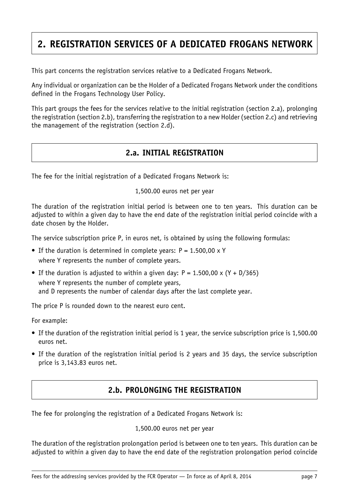# <span id="page-7-0"></span>**2. REGISTRATION SERVICES OF A DEDICATED FROGANS NETWORK**

This part concerns the registration services relative to a Dedicated Frogans Network.

Any individual or organization can be the Holder of a Dedicated Frogans Network under the conditions defined in the Frogans Technology User Policy.

<span id="page-7-1"></span>This part groups the fees for the services relative to the initial registration (section 2.a), prolonging the registration (section 2.b), transferring the registration to a new Holder (section 2.c) and retrieving the management of the registration (section 2.d).

# **2.a. INITIAL REGISTRATION**

The fee for the initial registration of a Dedicated Frogans Network is:

#### 1,500.00 euros net per year

The duration of the registration initial period is between one to ten years. This duration can be adjusted to within a given day to have the end date of the registration initial period coincide with a date chosen by the Holder.

The service subscription price P, in euros net, is obtained by using the following formulas:

- If the duration is determined in complete years:  $P = 1.500,00 \times Y$ where Y represents the number of complete years.
- If the duration is adjusted to within a given day:  $P = 1.500,00 \times (Y + D/365)$ where Y represents the number of complete years, and D represents the number of calendar days after the last complete year.

The price P is rounded down to the nearest euro cent.

For example:

- If the duration of the registration initial period is 1 year, the service subscription price is 1,500.00 euros net.
- <span id="page-7-2"></span>• If the duration of the registration initial period is 2 years and 35 days, the service subscription price is 3,143.83 euros net.

# **2.b. PROLONGING THE REGISTRATION**

The fee for prolonging the registration of a Dedicated Frogans Network is:

#### 1,500.00 euros net per year

The duration of the registration prolongation period is between one to ten years. This duration can be adjusted to within a given day to have the end date of the registration prolongation period coincide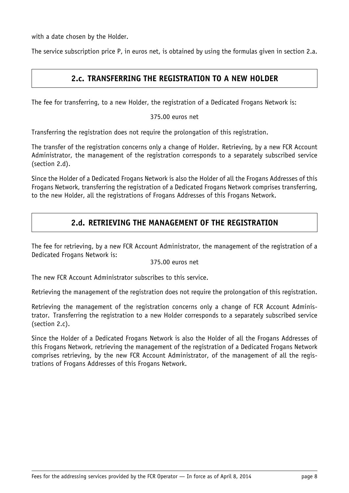with a date chosen by the Holder.

<span id="page-8-0"></span>The service subscription price P, in euros net, is obtained by using the formulas given in section 2.a.

## **2.c. TRANSFERRING THE REGISTRATION TO A NEW HOLDER**

The fee for transferring, to a new Holder, the registration of a Dedicated Frogans Network is:

375.00 euros net

Transferring the registration does not require the prolongation of this registration.

The transfer of the registration concerns only a change of Holder. Retrieving, by a new FCR Account Administrator, the management of the registration corresponds to a separately subscribed service (section 2.d).

<span id="page-8-1"></span>Since the Holder of a Dedicated Frogans Network is also the Holder of all the Frogans Addresses of this Frogans Network, transferring the registration of a Dedicated Frogans Network comprises transferring, to the new Holder, all the registrations of Frogans Addresses of this Frogans Network.

## **2.d. RETRIEVING THE MANAGEMENT OF THE REGISTRATION**

The fee for retrieving, by a new FCR Account Administrator, the management of the registration of a Dedicated Frogans Network is:

#### 375.00 euros net

The new FCR Account Administrator subscribes to this service.

Retrieving the management of the registration does not require the prolongation of this registration.

Retrieving the management of the registration concerns only a change of FCR Account Administrator. Transferring the registration to a new Holder corresponds to a separately subscribed service (section 2.c).

Since the Holder of a Dedicated Frogans Network is also the Holder of all the Frogans Addresses of this Frogans Network, retrieving the management of the registration of a Dedicated Frogans Network comprises retrieving, by the new FCR Account Administrator, of the management of all the registrations of Frogans Addresses of this Frogans Network.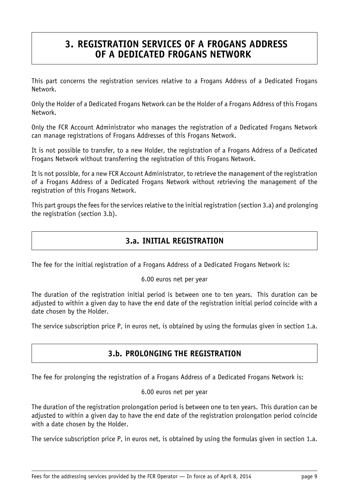# <span id="page-9-0"></span>**3. REGISTRATION SERVICES OF A FROGANS ADDRESS OF A DEDICATED FROGANS NETWORK**

This part concerns the registration services relative to a Frogans Address of a Dedicated Frogans Network.

Only the Holder of a Dedicated Frogans Network can be the Holder of a Frogans Address of this Frogans Network.

Only the FCR Account Administrator who manages the registration of a Dedicated Frogans Network can manage registrations of Frogans Addresses of this Frogans Network.

It is not possible to transfer, to a new Holder, the registration of a Frogans Address of a Dedicated Frogans Network without transferring the registration of this Frogans Network.

It is not possible, for a new FCR Account Administrator, to retrieve the management of the registration of a Frogans Address of a Dedicated Frogans Network without retrieving the management of the registration of this Frogans Network.

<span id="page-9-1"></span>This part groups the fees for the services relative to the initial registration (section 3.a) and prolonging the registration (section 3.b).

## **3.a. INITIAL REGISTRATION**

The fee for the initial registration of a Frogans Address of a Dedicated Frogans Network is:

#### 6.00 euros net per year

The duration of the registration initial period is between one to ten years. This duration can be adjusted to within a given day to have the end date of the registration initial period coincide with a date chosen by the Holder.

<span id="page-9-2"></span>The service subscription price P, in euros net, is obtained by using the formulas given in section 1.a.

## **3.b. PROLONGING THE REGISTRATION**

The fee for prolonging the registration of a Frogans Address of a Dedicated Frogans Network is:

#### 6.00 euros net per year

The duration of the registration prolongation period is between one to ten years. This duration can be adjusted to within a given day to have the end date of the registration prolongation period coincide with a date chosen by the Holder.

The service subscription price P, in euros net, is obtained by using the formulas given in section 1.a.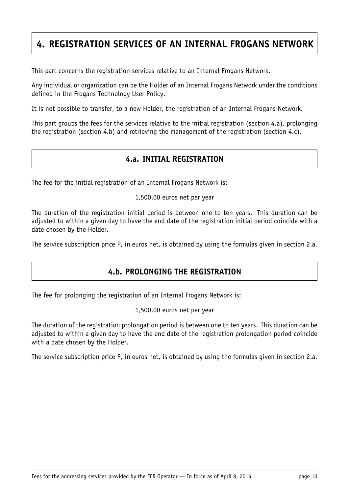# <span id="page-10-0"></span>**4. REGISTRATION SERVICES OF AN INTERNAL FROGANS NETWORK**

This part concerns the registration services relative to an Internal Frogans Network.

Any individual or organization can be the Holder of an Internal Frogans Network under the conditions defined in the Frogans Technology User Policy.

It is not possible to transfer, to a new Holder, the registration of an Internal Frogans Network.

<span id="page-10-1"></span>This part groups the fees for the services relative to the initial registration (section 4.a), prolonging the registration (section 4.b) and retrieving the management of the registration (section 4.c).

## **4.a. INITIAL REGISTRATION**

The fee for the initial registration of an Internal Frogans Network is:

1,500.00 euros net per year

The duration of the registration initial period is between one to ten years. This duration can be adjusted to within a given day to have the end date of the registration initial period coincide with a date chosen by the Holder.

<span id="page-10-2"></span>The service subscription price P, in euros net, is obtained by using the formulas given in section 2.a.

# **4.b. PROLONGING THE REGISTRATION**

The fee for prolonging the registration of an Internal Frogans Network is:

1,500.00 euros net per year

The duration of the registration prolongation period is between one to ten years. This duration can be adjusted to within a given day to have the end date of the registration prolongation period coincide with a date chosen by the Holder.

The service subscription price P, in euros net, is obtained by using the formulas given in section 2.a.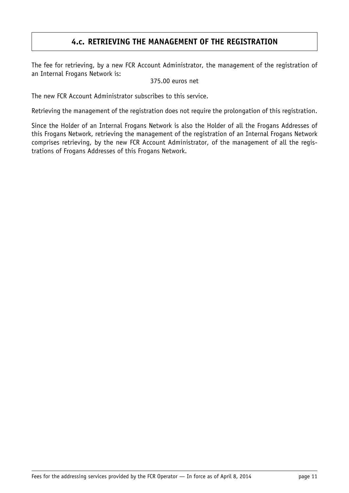# **4.c. RETRIEVING THE MANAGEMENT OF THE REGISTRATION**

<span id="page-11-0"></span>The fee for retrieving, by a new FCR Account Administrator, the management of the registration of an Internal Frogans Network is:

375.00 euros net

The new FCR Account Administrator subscribes to this service.

Retrieving the management of the registration does not require the prolongation of this registration.

Since the Holder of an Internal Frogans Network is also the Holder of all the Frogans Addresses of this Frogans Network, retrieving the management of the registration of an Internal Frogans Network comprises retrieving, by the new FCR Account Administrator, of the management of all the registrations of Frogans Addresses of this Frogans Network.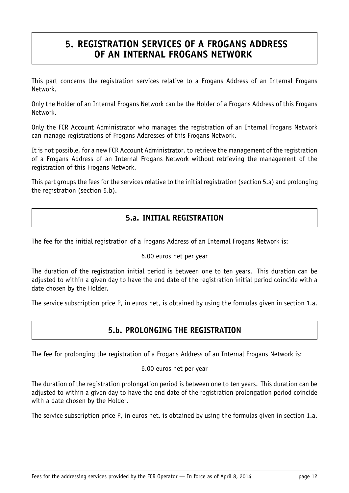# <span id="page-12-0"></span>**5. REGISTRATION SERVICES OF A FROGANS ADDRESS OF AN INTERNAL FROGANS NETWORK**

This part concerns the registration services relative to a Frogans Address of an Internal Frogans Network.

Only the Holder of an Internal Frogans Network can be the Holder of a Frogans Address of this Frogans Network.

Only the FCR Account Administrator who manages the registration of an Internal Frogans Network can manage registrations of Frogans Addresses of this Frogans Network.

It is not possible, for a new FCR Account Administrator, to retrieve the management of the registration of a Frogans Address of an Internal Frogans Network without retrieving the management of the registration of this Frogans Network.

<span id="page-12-1"></span>This part groups the fees for the services relative to the initial registration (section 5.a) and prolonging the registration (section 5.b).

## **5.a. INITIAL REGISTRATION**

The fee for the initial registration of a Frogans Address of an Internal Frogans Network is:

#### 6.00 euros net per year

The duration of the registration initial period is between one to ten years. This duration can be adjusted to within a given day to have the end date of the registration initial period coincide with a date chosen by the Holder.

<span id="page-12-2"></span>The service subscription price P, in euros net, is obtained by using the formulas given in section 1.a.

## **5.b. PROLONGING THE REGISTRATION**

The fee for prolonging the registration of a Frogans Address of an Internal Frogans Network is:

#### 6.00 euros net per year

The duration of the registration prolongation period is between one to ten years. This duration can be adjusted to within a given day to have the end date of the registration prolongation period coincide with a date chosen by the Holder.

The service subscription price P, in euros net, is obtained by using the formulas given in section 1.a.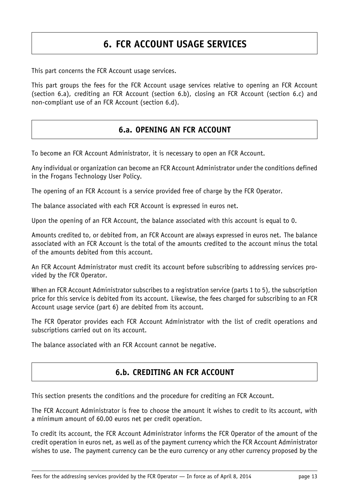# **6. FCR ACCOUNT USAGE SERVICES**

<span id="page-13-0"></span>This part concerns the FCR Account usage services.

<span id="page-13-1"></span>This part groups the fees for the FCR Account usage services relative to opening an FCR Account (section 6.a), crediting an FCR Account (section 6.b), closing an FCR Account (section 6.c) and non-compliant use of an FCR Account (section 6.d).

## **6.a. OPENING AN FCR ACCOUNT**

To become an FCR Account Administrator, it is necessary to open an FCR Account.

Any individual or organization can become an FCR Account Administrator under the conditions defined in the Frogans Technology User Policy.

The opening of an FCR Account is a service provided free of charge by the FCR Operator.

The balance associated with each FCR Account is expressed in euros net.

Upon the opening of an FCR Account, the balance associated with this account is equal to 0.

Amounts credited to, or debited from, an FCR Account are always expressed in euros net. The balance associated with an FCR Account is the total of the amounts credited to the account minus the total of the amounts debited from this account.

An FCR Account Administrator must credit its account before subscribing to addressing services provided by the FCR Operator.

When an FCR Account Administrator subscribes to a registration service (parts 1 to 5), the subscription price for this service is debited from its account. Likewise, the fees charged for subscribing to an FCR Account usage service (part 6) are debited from its account.

The FCR Operator provides each FCR Account Administrator with the list of credit operations and subscriptions carried out on its account.

<span id="page-13-2"></span>The balance associated with an FCR Account cannot be negative.

## **6.b. CREDITING AN FCR ACCOUNT**

This section presents the conditions and the procedure for crediting an FCR Account.

The FCR Account Administrator is free to choose the amount it wishes to credit to its account, with a minimum amount of 60.00 euros net per credit operation.

To credit its account, the FCR Account Administrator informs the FCR Operator of the amount of the credit operation in euros net, as well as of the payment currency which the FCR Account Administrator wishes to use. The payment currency can be the euro currency or any other currency proposed by the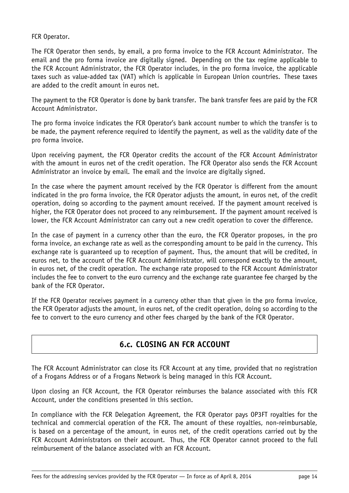#### FCR Operator.

The FCR Operator then sends, by email, a pro forma invoice to the FCR Account Administrator. The email and the pro forma invoice are digitally signed. Depending on the tax regime applicable to the FCR Account Administrator, the FCR Operator includes, in the pro forma invoice, the applicable taxes such as value-added tax (VAT) which is applicable in European Union countries. These taxes are added to the credit amount in euros net.

The payment to the FCR Operator is done by bank transfer. The bank transfer fees are paid by the FCR Account Administrator.

The pro forma invoice indicates the FCR Operator's bank account number to which the transfer is to be made, the payment reference required to identify the payment, as well as the validity date of the pro forma invoice.

Upon receiving payment, the FCR Operator credits the account of the FCR Account Administrator with the amount in euros net of the credit operation. The FCR Operator also sends the FCR Account Administrator an invoice by email. The email and the invoice are digitally signed.

In the case where the payment amount received by the FCR Operator is different from the amount indicated in the pro forma invoice, the FCR Operator adjusts the amount, in euros net, of the credit operation, doing so according to the payment amount received. If the payment amount received is higher, the FCR Operator does not proceed to any reimbursement. If the payment amount received is lower, the FCR Account Administrator can carry out a new credit operation to cover the difference.

In the case of payment in a currency other than the euro, the FCR Operator proposes, in the pro forma invoice, an exchange rate as well as the corresponding amount to be paid in the currency. This exchange rate is guaranteed up to reception of payment. Thus, the amount that will be credited, in euros net, to the account of the FCR Account Administrator, will correspond exactly to the amount, in euros net, of the credit operation. The exchange rate proposed to the FCR Account Administrator includes the fee to convert to the euro currency and the exchange rate guarantee fee charged by the bank of the FCR Operator.

<span id="page-14-0"></span>If the FCR Operator receives payment in a currency other than that given in the pro forma invoice, the FCR Operator adjusts the amount, in euros net, of the credit operation, doing so according to the fee to convert to the euro currency and other fees charged by the bank of the FCR Operator.

# **6.c. CLOSING AN FCR ACCOUNT**

The FCR Account Administrator can close its FCR Account at any time, provided that no registration of a Frogans Address or of a Frogans Network is being managed in this FCR Account.

Upon closing an FCR Account, the FCR Operator reimburses the balance associated with this FCR Account, under the conditions presented in this section.

In compliance with the FCR Delegation Agreement, the FCR Operator pays OP3FT royalties for the technical and commercial operation of the FCR. The amount of these royalties, non-reimbursable, is based on a percentage of the amount, in euros net, of the credit operations carried out by the FCR Account Administrators on their account. Thus, the FCR Operator cannot proceed to the full reimbursement of the balance associated with an FCR Account.